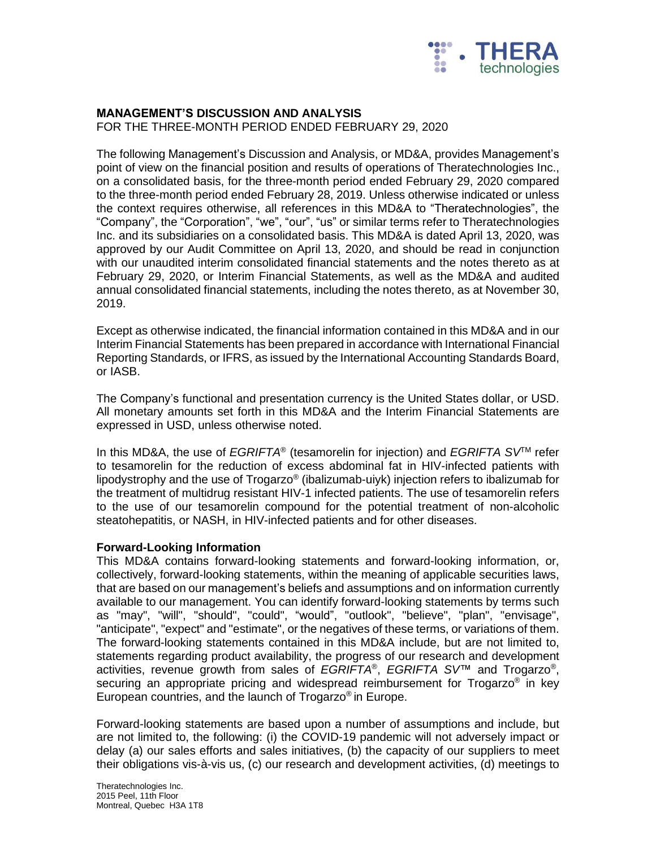

# **MANAGEMENT'S DISCUSSION AND ANALYSIS**

FOR THE THREE-MONTH PERIOD ENDED FEBRUARY 29, 2020

The following Management's Discussion and Analysis, or MD&A, provides Management's point of view on the financial position and results of operations of Theratechnologies Inc., on a consolidated basis, for the three-month period ended February 29, 2020 compared to the three-month period ended February 28, 2019. Unless otherwise indicated or unless the context requires otherwise, all references in this MD&A to "Theratechnologies", the "Company", the "Corporation", "we", "our", "us" or similar terms refer to Theratechnologies Inc. and its subsidiaries on a consolidated basis. This MD&A is dated April 13, 2020, was approved by our Audit Committee on April 13, 2020, and should be read in conjunction with our unaudited interim consolidated financial statements and the notes thereto as at February 29, 2020, or Interim Financial Statements, as well as the MD&A and audited annual consolidated financial statements, including the notes thereto, as at November 30, 2019.

Except as otherwise indicated, the financial information contained in this MD&A and in our Interim Financial Statements has been prepared in accordance with International Financial Reporting Standards, or IFRS, as issued by the International Accounting Standards Board, or IASB.

The Company's functional and presentation currency is the United States dollar, or USD. All monetary amounts set forth in this MD&A and the Interim Financial Statements are expressed in USD, unless otherwise noted.

In this MD&A, the use of *EGRIFTA*® (tesamorelin for injection) and *EGRIFTA SV*TM refer to tesamorelin for the reduction of excess abdominal fat in HIV-infected patients with lipodystrophy and the use of Trogarzo® (ibalizumab-uiyk) injection refers to ibalizumab for the treatment of multidrug resistant HIV-1 infected patients. The use of tesamorelin refers to the use of our tesamorelin compound for the potential treatment of non-alcoholic steatohepatitis, or NASH, in HIV-infected patients and for other diseases.

#### **Forward-Looking Information**

This MD&A contains forward-looking statements and forward-looking information, or, collectively, forward-looking statements, within the meaning of applicable securities laws, that are based on our management's beliefs and assumptions and on information currently available to our management. You can identify forward-looking statements by terms such as "may", "will", "should", "could", "would", "outlook", "believe", "plan", "envisage", "anticipate", "expect" and "estimate", or the negatives of these terms, or variations of them. The forward-looking statements contained in this MD&A include, but are not limited to, statements regarding product availability, the progress of our research and development activities, revenue growth from sales of *EGRIFTA*® , *EGRIFTA SV*™ and Trogarzo® , securing an appropriate pricing and widespread reimbursement for Trogarzo® in key European countries, and the launch of Trogarzo® in Europe.

Forward-looking statements are based upon a number of assumptions and include, but are not limited to, the following: (i) the COVID-19 pandemic will not adversely impact or delay (a) our sales efforts and sales initiatives, (b) the capacity of our suppliers to meet their obligations vis-à-vis us, (c) our research and development activities, (d) meetings to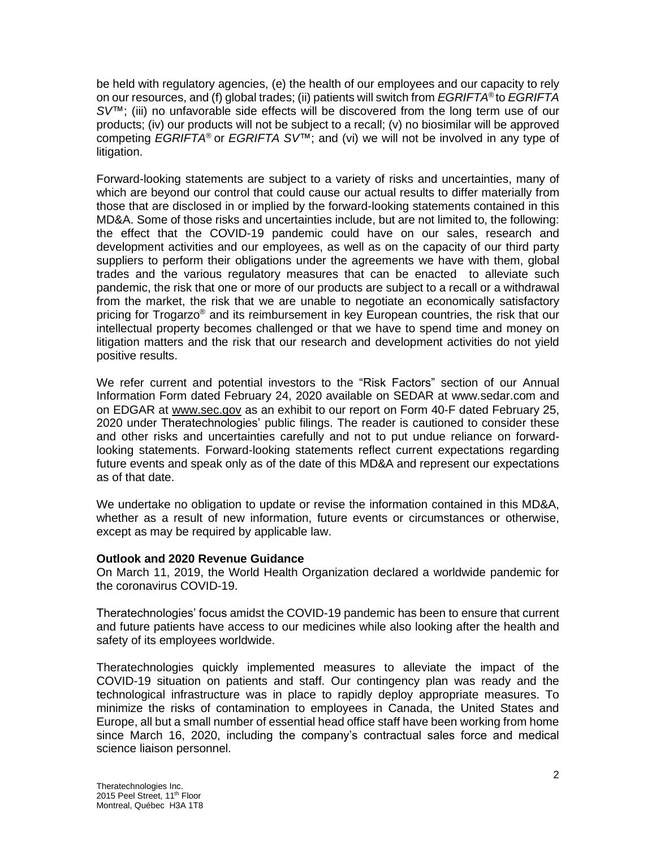be held with regulatory agencies, (e) the health of our employees and our capacity to rely on our resources, and (f) global trades; (ii) patients will switch from *EGRIFTA*® to *EGRIFTA SV*™; (iii) no unfavorable side effects will be discovered from the long term use of our products; (iv) our products will not be subject to a recall; (v) no biosimilar will be approved competing *EGRIFTA*® or *EGRIFTA SV*™; and (vi) we will not be involved in any type of litigation.

Forward-looking statements are subject to a variety of risks and uncertainties, many of which are beyond our control that could cause our actual results to differ materially from those that are disclosed in or implied by the forward-looking statements contained in this MD&A. Some of those risks and uncertainties include, but are not limited to, the following: the effect that the COVID-19 pandemic could have on our sales, research and development activities and our employees, as well as on the capacity of our third party suppliers to perform their obligations under the agreements we have with them, global trades and the various regulatory measures that can be enacted to alleviate such pandemic, the risk that one or more of our products are subject to a recall or a withdrawal from the market, the risk that we are unable to negotiate an economically satisfactory pricing for Trogarzo® and its reimbursement in key European countries, the risk that our intellectual property becomes challenged or that we have to spend time and money on litigation matters and the risk that our research and development activities do not yield positive results.

We refer current and potential investors to the "Risk Factors" section of our Annual Information Form dated February 24, 2020 available on SEDAR at www.sedar.com and on EDGAR at [www.sec.gov](http://www.sec.gov/) as an exhibit to our report on Form 40-F dated February 25, 2020 under Theratechnologies' public filings. The reader is cautioned to consider these and other risks and uncertainties carefully and not to put undue reliance on forwardlooking statements. Forward-looking statements reflect current expectations regarding future events and speak only as of the date of this MD&A and represent our expectations as of that date.

We undertake no obligation to update or revise the information contained in this MD&A, whether as a result of new information, future events or circumstances or otherwise, except as may be required by applicable law.

# **Outlook and 2020 Revenue Guidance**

On March 11, 2019, the World Health Organization declared a worldwide pandemic for the coronavirus COVID-19.

Theratechnologies' focus amidst the COVID-19 pandemic has been to ensure that current and future patients have access to our medicines while also looking after the health and safety of its employees worldwide.

Theratechnologies quickly implemented measures to alleviate the impact of the COVID-19 situation on patients and staff. Our contingency plan was ready and the technological infrastructure was in place to rapidly deploy appropriate measures. To minimize the risks of contamination to employees in Canada, the United States and Europe, all but a small number of essential head office staff have been working from home since March 16, 2020, including the company's contractual sales force and medical science liaison personnel.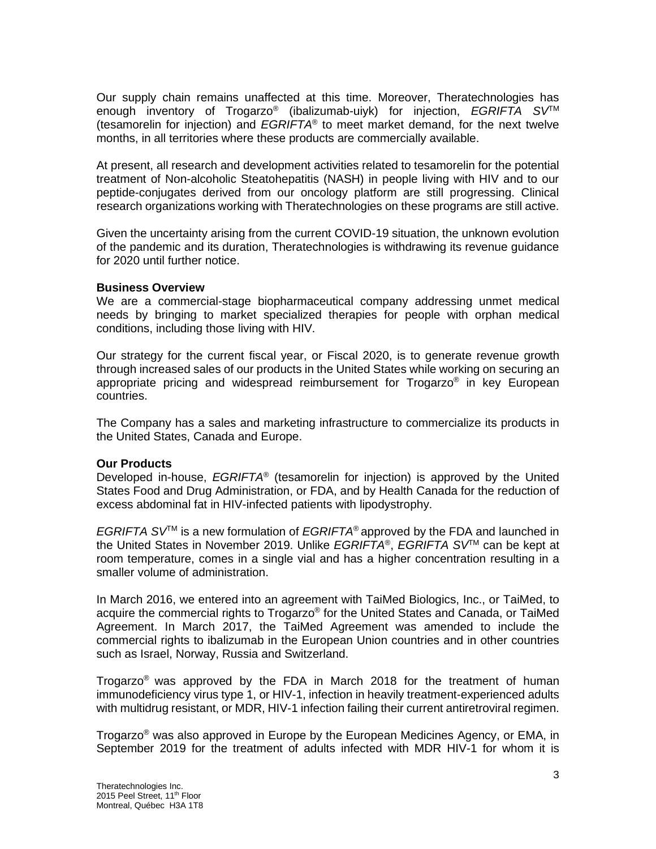Our supply chain remains unaffected at this time. Moreover, Theratechnologies has enough inventory of Trogarzo® (ibalizumab-uiyk) for injection, *EGRIFTA SV*TM (tesamorelin for injection) and *EGRIFTA*® to meet market demand, for the next twelve months, in all territories where these products are commercially available.

At present, all research and development activities related to tesamorelin for the potential treatment of Non-alcoholic Steatohepatitis (NASH) in people living with HIV and to our peptide-conjugates derived from our oncology platform are still progressing. Clinical research organizations working with Theratechnologies on these programs are still active.

Given the uncertainty arising from the current COVID-19 situation, the unknown evolution of the pandemic and its duration, Theratechnologies is withdrawing its revenue guidance for 2020 until further notice.

#### **Business Overview**

We are a commercial-stage biopharmaceutical company addressing unmet medical needs by bringing to market specialized therapies for people with orphan medical conditions, including those living with HIV.

Our strategy for the current fiscal year, or Fiscal 2020, is to generate revenue growth through increased sales of our products in the United States while working on securing an appropriate pricing and widespread reimbursement for Trogarzo® in key European countries.

The Company has a sales and marketing infrastructure to commercialize its products in the United States, Canada and Europe.

#### **Our Products**

Developed in-house, *EGRIFTA*® (tesamorelin for injection) is approved by the United States Food and Drug Administration, or FDA, and by Health Canada for the reduction of excess abdominal fat in HIV-infected patients with lipodystrophy.

*EGRIFTA SV*TM is a new formulation of *EGRIFTA*® approved by the FDA and launched in the United States in November 2019. Unlike *EGRIFTA*® , *EGRIFTA SV*TM can be kept at room temperature, comes in a single vial and has a higher concentration resulting in a smaller volume of administration.

In March 2016, we entered into an agreement with TaiMed Biologics, Inc., or TaiMed, to acquire the commercial rights to Trogarzo® for the United States and Canada, or TaiMed Agreement. In March 2017, the TaiMed Agreement was amended to include the commercial rights to ibalizumab in the European Union countries and in other countries such as Israel, Norway, Russia and Switzerland.

Trogarzo<sup>®</sup> was approved by the FDA in March 2018 for the treatment of human immunodeficiency virus type 1, or HIV-1, infection in heavily treatment-experienced adults with multidrug resistant, or MDR, HIV-1 infection failing their current antiretroviral regimen.

Trogarzo<sup>®</sup> was also approved in Europe by the European Medicines Agency, or EMA, in September 2019 for the treatment of adults infected with MDR HIV-1 for whom it is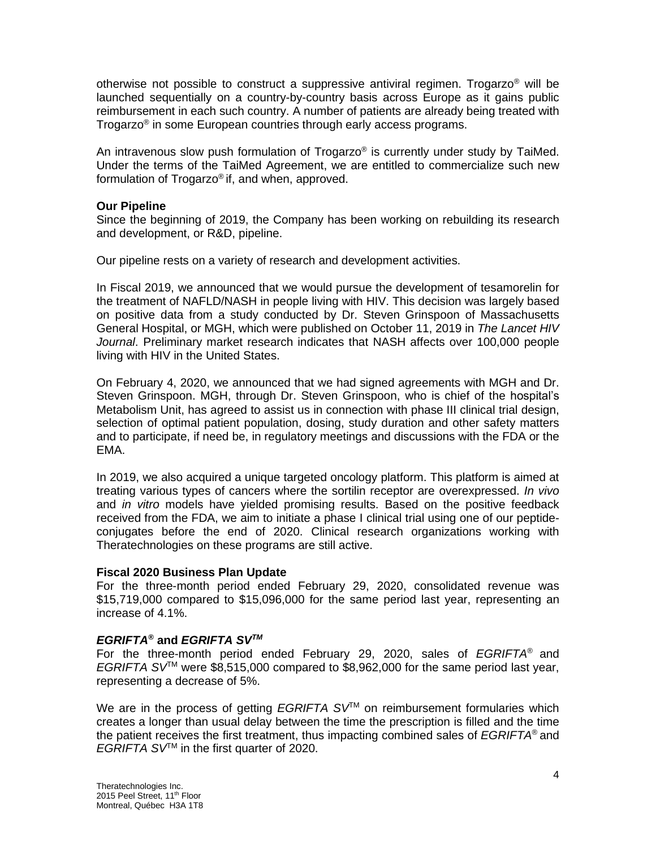otherwise not possible to construct a suppressive antiviral regimen. Trogarzo® will be launched sequentially on a country-by-country basis across Europe as it gains public reimbursement in each such country. A number of patients are already being treated with Trogarzo® in some European countries through early access programs.

An intravenous slow push formulation of Trogarzo® is currently under study by TaiMed. Under the terms of the TaiMed Agreement, we are entitled to commercialize such new formulation of Trogarzo® if, and when, approved.

## **Our Pipeline**

Since the beginning of 2019, the Company has been working on rebuilding its research and development, or R&D, pipeline.

Our pipeline rests on a variety of research and development activities.

In Fiscal 2019, we announced that we would pursue the development of tesamorelin for the treatment of NAFLD/NASH in people living with HIV. This decision was largely based on positive data from a study conducted by Dr. Steven Grinspoon of Massachusetts General Hospital, or MGH, which were published on October 11, 2019 in *The Lancet HIV Journal*. Preliminary market research indicates that NASH affects over 100,000 people living with HIV in the United States.

On February 4, 2020, we announced that we had signed agreements with MGH and Dr. Steven Grinspoon. MGH, through Dr. Steven Grinspoon, who is chief of the hospital's Metabolism Unit, has agreed to assist us in connection with phase III clinical trial design, selection of optimal patient population, dosing, study duration and other safety matters and to participate, if need be, in regulatory meetings and discussions with the FDA or the EMA.

In 2019, we also acquired a unique targeted oncology platform. This platform is aimed at treating various types of cancers where the sortilin receptor are overexpressed. *In vivo* and *in vitro* models have yielded promising results. Based on the positive feedback received from the FDA, we aim to initiate a phase I clinical trial using one of our peptideconjugates before the end of 2020. Clinical research organizations working with Theratechnologies on these programs are still active.

#### **Fiscal 2020 Business Plan Update**

For the three-month period ended February 29, 2020, consolidated revenue was \$15,719,000 compared to \$15,096,000 for the same period last year, representing an increase of 4.1%.

# *EGRIFTA®* **and** *EGRIFTA SVTM*

For the three-month period ended February 29, 2020, sales of *EGRIFTA*® and *EGRIFTA SV*TM were \$8,515,000 compared to \$8,962,000 for the same period last year, representing a decrease of 5%.

We are in the process of getting *EGRIFTA* SV<sup>™</sup> on reimbursement formularies which creates a longer than usual delay between the time the prescription is filled and the time the patient receives the first treatment, thus impacting combined sales of *EGRIFTA*® and *EGRIFTA SV*<sup>™</sup> in the first quarter of 2020.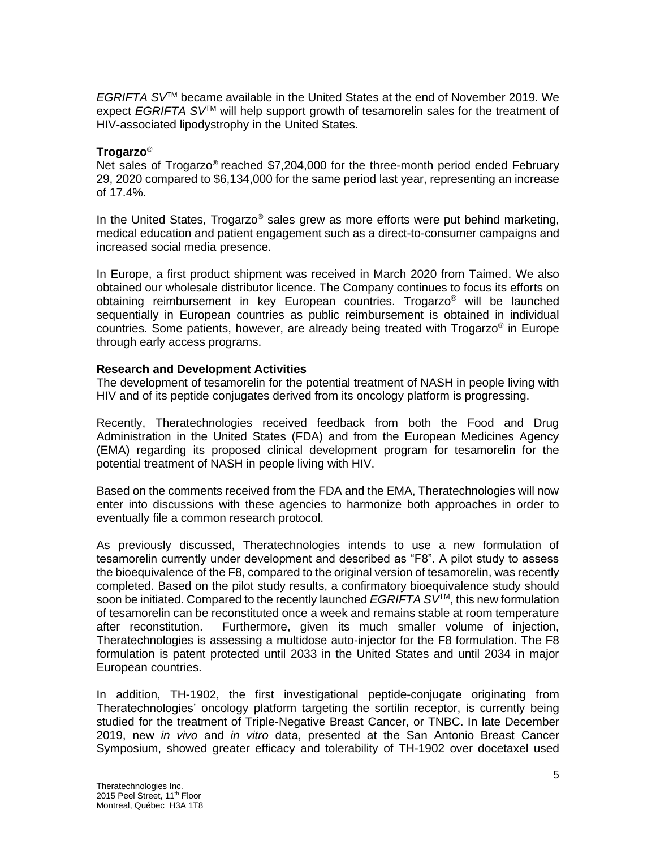*EGRIFTA SV*TM became available in the United States at the end of November 2019. We expect *EGRIFTA SV*TM will help support growth of tesamorelin sales for the treatment of HIV-associated lipodystrophy in the United States.

## **Trogarzo**®

Net sales of Trogarzo® reached \$7,204,000 for the three-month period ended February 29, 2020 compared to \$6,134,000 for the same period last year, representing an increase of 17.4%.

In the United States, Trogarzo<sup>®</sup> sales grew as more efforts were put behind marketing, medical education and patient engagement such as a direct-to-consumer campaigns and increased social media presence.

In Europe, a first product shipment was received in March 2020 from Taimed. We also obtained our wholesale distributor licence. The Company continues to focus its efforts on obtaining reimbursement in key European countries. Trogarzo® will be launched sequentially in European countries as public reimbursement is obtained in individual countries. Some patients, however, are already being treated with Trogarzo® in Europe through early access programs.

## **Research and Development Activities**

The development of tesamorelin for the potential treatment of NASH in people living with HIV and of its peptide conjugates derived from its oncology platform is progressing.

Recently, Theratechnologies received feedback from both the Food and Drug Administration in the United States (FDA) and from the European Medicines Agency (EMA) regarding its proposed clinical development program for tesamorelin for the potential treatment of NASH in people living with HIV.

Based on the comments received from the FDA and the EMA, Theratechnologies will now enter into discussions with these agencies to harmonize both approaches in order to eventually file a common research protocol.

As previously discussed, Theratechnologies intends to use a new formulation of tesamorelin currently under development and described as "F8". A pilot study to assess the bioequivalence of the F8, compared to the original version of tesamorelin, was recently completed. Based on the pilot study results, a confirmatory bioequivalence study should soon be initiated. Compared to the recently launched *EGRIFTA SV*TM, this new formulation of tesamorelin can be reconstituted once a week and remains stable at room temperature after reconstitution. Furthermore, given its much smaller volume of injection, Theratechnologies is assessing a multidose auto-injector for the F8 formulation. The F8 formulation is patent protected until 2033 in the United States and until 2034 in major European countries.

In addition, TH-1902, the first investigational peptide-conjugate originating from Theratechnologies' oncology platform targeting the sortilin receptor, is currently being studied for the treatment of Triple-Negative Breast Cancer, or TNBC. In late December 2019, new *in vivo* and *in vitro* data, presented at the San Antonio Breast Cancer Symposium, showed greater efficacy and tolerability of TH-1902 over docetaxel used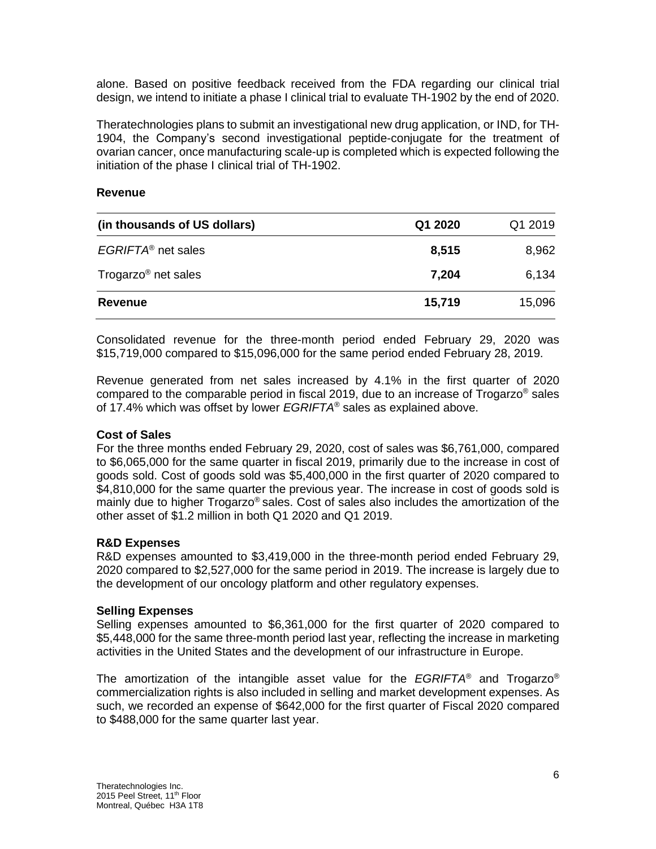alone. Based on positive feedback received from the FDA regarding our clinical trial design, we intend to initiate a phase I clinical trial to evaluate TH-1902 by the end of 2020.

Theratechnologies plans to submit an investigational new drug application, or IND, for TH-1904, the Company's second investigational peptide-conjugate for the treatment of ovarian cancer, once manufacturing scale-up is completed which is expected following the initiation of the phase I clinical trial of TH-1902.

## **Revenue**

| (in thousands of US dollars)    | Q1 2020 | Q1 2019 |
|---------------------------------|---------|---------|
| EGRIFTA <sup>®</sup> net sales  | 8,515   | 8,962   |
| Trogarzo <sup>®</sup> net sales | 7,204   | 6,134   |
| Revenue                         | 15,719  | 15,096  |

Consolidated revenue for the three-month period ended February 29, 2020 was \$15,719,000 compared to \$15,096,000 for the same period ended February 28, 2019.

Revenue generated from net sales increased by 4.1% in the first quarter of 2020 compared to the comparable period in fiscal 2019, due to an increase of Trogarzo<sup>®</sup> sales of 17.4% which was offset by lower *EGRIFTA*® sales as explained above.

# **Cost of Sales**

For the three months ended February 29, 2020, cost of sales was \$6,761,000, compared to \$6,065,000 for the same quarter in fiscal 2019, primarily due to the increase in cost of goods sold. Cost of goods sold was \$5,400,000 in the first quarter of 2020 compared to \$4,810,000 for the same quarter the previous year. The increase in cost of goods sold is mainly due to higher Trogarzo® sales. Cost of sales also includes the amortization of the other asset of \$1.2 million in both Q1 2020 and Q1 2019.

# **R&D Expenses**

R&D expenses amounted to \$3,419,000 in the three-month period ended February 29, 2020 compared to \$2,527,000 for the same period in 2019. The increase is largely due to the development of our oncology platform and other regulatory expenses.

# **Selling Expenses**

Selling expenses amounted to \$6,361,000 for the first quarter of 2020 compared to \$5,448,000 for the same three-month period last year, reflecting the increase in marketing activities in the United States and the development of our infrastructure in Europe.

The amortization of the intangible asset value for the *EGRIFTA*® and Trogarzo® commercialization rights is also included in selling and market development expenses. As such, we recorded an expense of \$642,000 for the first quarter of Fiscal 2020 compared to \$488,000 for the same quarter last year.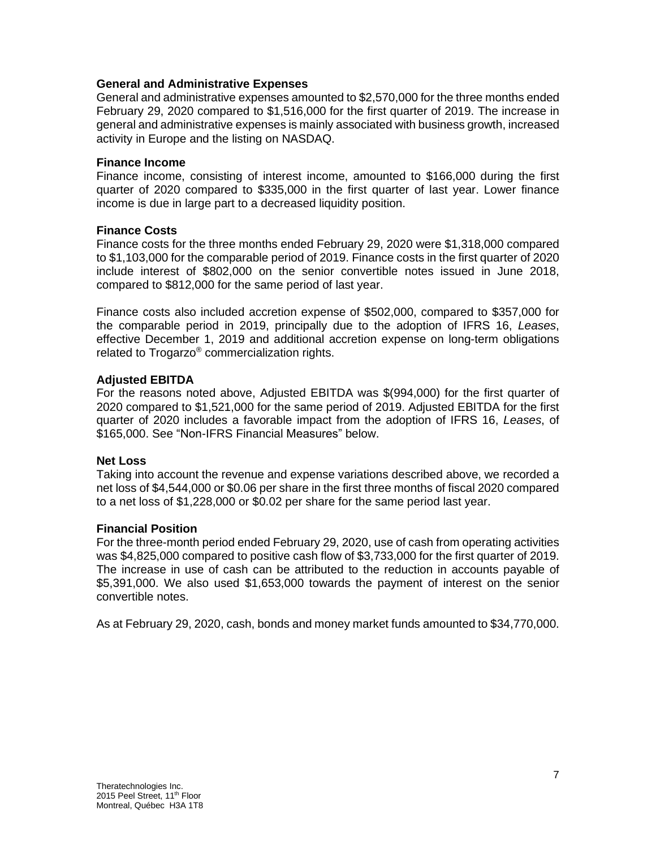## **General and Administrative Expenses**

General and administrative expenses amounted to \$2,570,000 for the three months ended February 29, 2020 compared to \$1,516,000 for the first quarter of 2019. The increase in general and administrative expenses is mainly associated with business growth, increased activity in Europe and the listing on NASDAQ.

#### **Finance Income**

Finance income, consisting of interest income, amounted to \$166,000 during the first quarter of 2020 compared to \$335,000 in the first quarter of last year. Lower finance income is due in large part to a decreased liquidity position.

## **Finance Costs**

Finance costs for the three months ended February 29, 2020 were \$1,318,000 compared to \$1,103,000 for the comparable period of 2019. Finance costs in the first quarter of 2020 include interest of \$802,000 on the senior convertible notes issued in June 2018, compared to \$812,000 for the same period of last year.

Finance costs also included accretion expense of \$502,000, compared to \$357,000 for the comparable period in 2019, principally due to the adoption of IFRS 16, *Leases*, effective December 1, 2019 and additional accretion expense on long-term obligations related to Trogarzo® commercialization rights.

## **Adjusted EBITDA**

For the reasons noted above, Adjusted EBITDA was \$(994,000) for the first quarter of 2020 compared to \$1,521,000 for the same period of 2019. Adjusted EBITDA for the first quarter of 2020 includes a favorable impact from the adoption of IFRS 16, *Leases*, of \$165,000. See "Non-IFRS Financial Measures" below.

#### **Net Loss**

Taking into account the revenue and expense variations described above, we recorded a net loss of \$4,544,000 or \$0.06 per share in the first three months of fiscal 2020 compared to a net loss of \$1,228,000 or \$0.02 per share for the same period last year.

#### **Financial Position**

For the three-month period ended February 29, 2020, use of cash from operating activities was \$4,825,000 compared to positive cash flow of \$3,733,000 for the first quarter of 2019. The increase in use of cash can be attributed to the reduction in accounts payable of \$5,391,000. We also used \$1,653,000 towards the payment of interest on the senior convertible notes.

As at February 29, 2020, cash, bonds and money market funds amounted to \$34,770,000.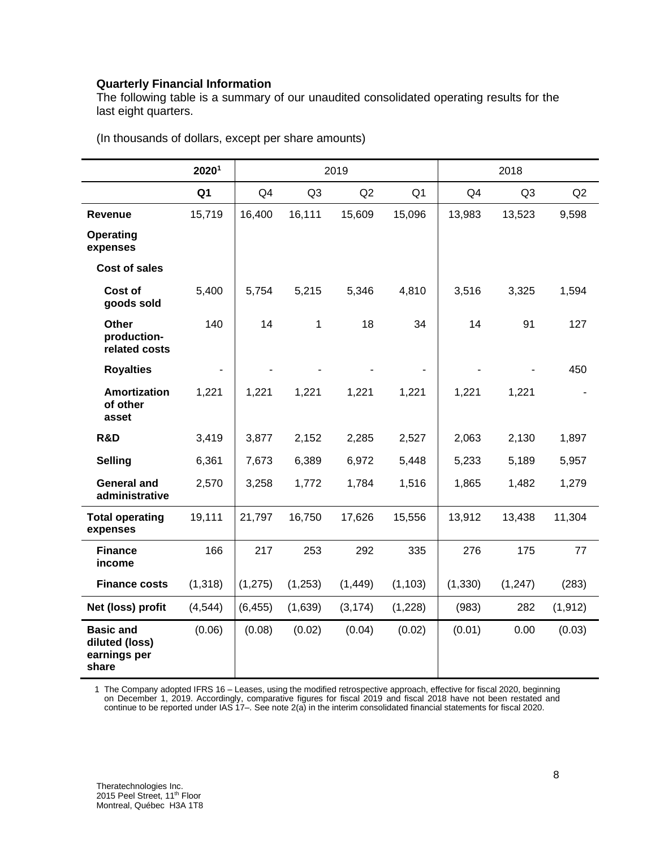# **Quarterly Financial Information**

The following table is a summary of our unaudited consolidated operating results for the last eight quarters.

|                                                             | 20201          | 2019           |                | 2018     |                |          |                |          |
|-------------------------------------------------------------|----------------|----------------|----------------|----------|----------------|----------|----------------|----------|
|                                                             | Q <sub>1</sub> | Q <sub>4</sub> | Q <sub>3</sub> | Q2       | Q <sub>1</sub> | Q4       | Q <sub>3</sub> | Q2       |
| Revenue                                                     | 15,719         | 16,400         | 16,111         | 15,609   | 15,096         | 13,983   | 13,523         | 9,598    |
| <b>Operating</b><br>expenses                                |                |                |                |          |                |          |                |          |
| <b>Cost of sales</b>                                        |                |                |                |          |                |          |                |          |
| Cost of<br>goods sold                                       | 5,400          | 5,754          | 5,215          | 5,346    | 4,810          | 3,516    | 3,325          | 1,594    |
| <b>Other</b><br>production-<br>related costs                | 140            | 14             | 1              | 18       | 34             | 14       | 91             | 127      |
| <b>Royalties</b>                                            |                |                |                |          |                |          |                | 450      |
| <b>Amortization</b><br>of other<br>asset                    | 1,221          | 1,221          | 1,221          | 1,221    | 1,221          | 1,221    | 1,221          |          |
| R&D                                                         | 3,419          | 3,877          | 2,152          | 2,285    | 2,527          | 2,063    | 2,130          | 1,897    |
| <b>Selling</b>                                              | 6,361          | 7,673          | 6,389          | 6,972    | 5,448          | 5,233    | 5,189          | 5,957    |
| <b>General and</b><br>administrative                        | 2,570          | 3,258          | 1,772          | 1,784    | 1,516          | 1,865    | 1,482          | 1,279    |
| <b>Total operating</b><br>expenses                          | 19,111         | 21,797         | 16,750         | 17,626   | 15,556         | 13,912   | 13,438         | 11,304   |
| <b>Finance</b><br>income                                    | 166            | 217            | 253            | 292      | 335            | 276      | 175            | 77       |
| <b>Finance costs</b>                                        | (1,318)        | (1, 275)       | (1,253)        | (1, 449) | (1, 103)       | (1, 330) | (1, 247)       | (283)    |
| Net (loss) profit                                           | (4, 544)       | (6, 455)       | (1,639)        | (3, 174) | (1,228)        | (983)    | 282            | (1, 912) |
| <b>Basic and</b><br>diluted (loss)<br>earnings per<br>share | (0.06)         | (0.08)         | (0.02)         | (0.04)   | (0.02)         | (0.01)   | 0.00           | (0.03)   |

(In thousands of dollars, except per share amounts)

1 The Company adopted IFRS 16 – Leases, using the modified retrospective approach, effective for fiscal 2020, beginning on December 1, 2019. Accordingly, comparative figures for fiscal 2019 and fiscal 2018 have not been restated and continue to be reported under IAS 17–. See note 2(a) in the interim consolidated financial statements for fiscal 2020.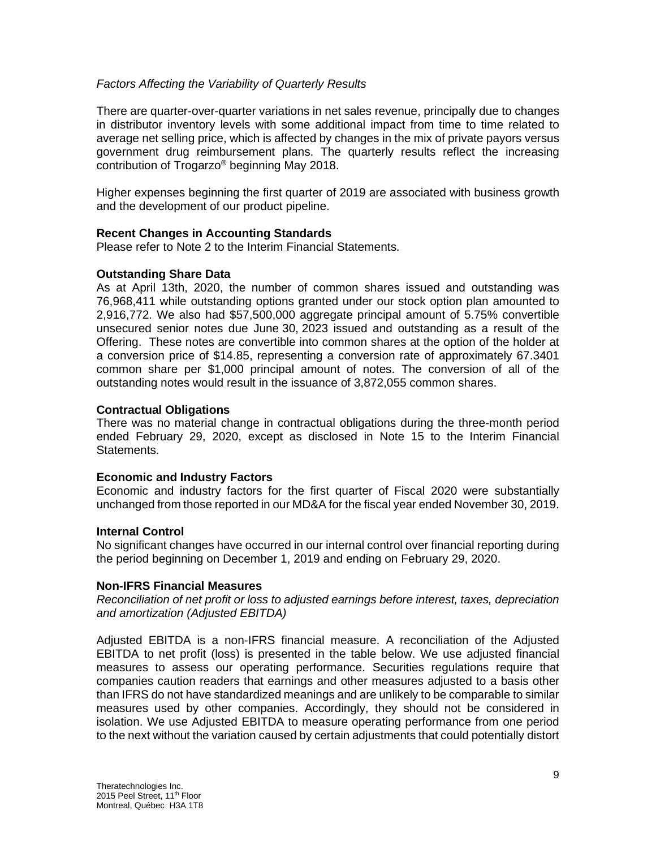## *Factors Affecting the Variability of Quarterly Results*

There are quarter-over-quarter variations in net sales revenue, principally due to changes in distributor inventory levels with some additional impact from time to time related to average net selling price, which is affected by changes in the mix of private payors versus government drug reimbursement plans. The quarterly results reflect the increasing contribution of Trogarzo® beginning May 2018.

Higher expenses beginning the first quarter of 2019 are associated with business growth and the development of our product pipeline.

## **Recent Changes in Accounting Standards**

Please refer to Note 2 to the Interim Financial Statements.

## **Outstanding Share Data**

As at April 13th, 2020, the number of common shares issued and outstanding was 76,968,411 while outstanding options granted under our stock option plan amounted to 2,916,772. We also had \$57,500,000 aggregate principal amount of 5.75% convertible unsecured senior notes due June 30, 2023 issued and outstanding as a result of the Offering. These notes are convertible into common shares at the option of the holder at a conversion price of \$14.85, representing a conversion rate of approximately 67.3401 common share per \$1,000 principal amount of notes. The conversion of all of the outstanding notes would result in the issuance of 3,872,055 common shares.

## **Contractual Obligations**

There was no material change in contractual obligations during the three-month period ended February 29, 2020, except as disclosed in Note 15 to the Interim Financial Statements.

# **Economic and Industry Factors**

Economic and industry factors for the first quarter of Fiscal 2020 were substantially unchanged from those reported in our MD&A for the fiscal year ended November 30, 2019.

#### **Internal Control**

No significant changes have occurred in our internal control over financial reporting during the period beginning on December 1, 2019 and ending on February 29, 2020.

#### **Non-IFRS Financial Measures**

*Reconciliation of net profit or loss to adjusted earnings before interest, taxes, depreciation and amortization (Adjusted EBITDA)*

Adjusted EBITDA is a non-IFRS financial measure. A reconciliation of the Adjusted EBITDA to net profit (loss) is presented in the table below. We use adjusted financial measures to assess our operating performance. Securities regulations require that companies caution readers that earnings and other measures adjusted to a basis other than IFRS do not have standardized meanings and are unlikely to be comparable to similar measures used by other companies. Accordingly, they should not be considered in isolation. We use Adjusted EBITDA to measure operating performance from one period to the next without the variation caused by certain adjustments that could potentially distort